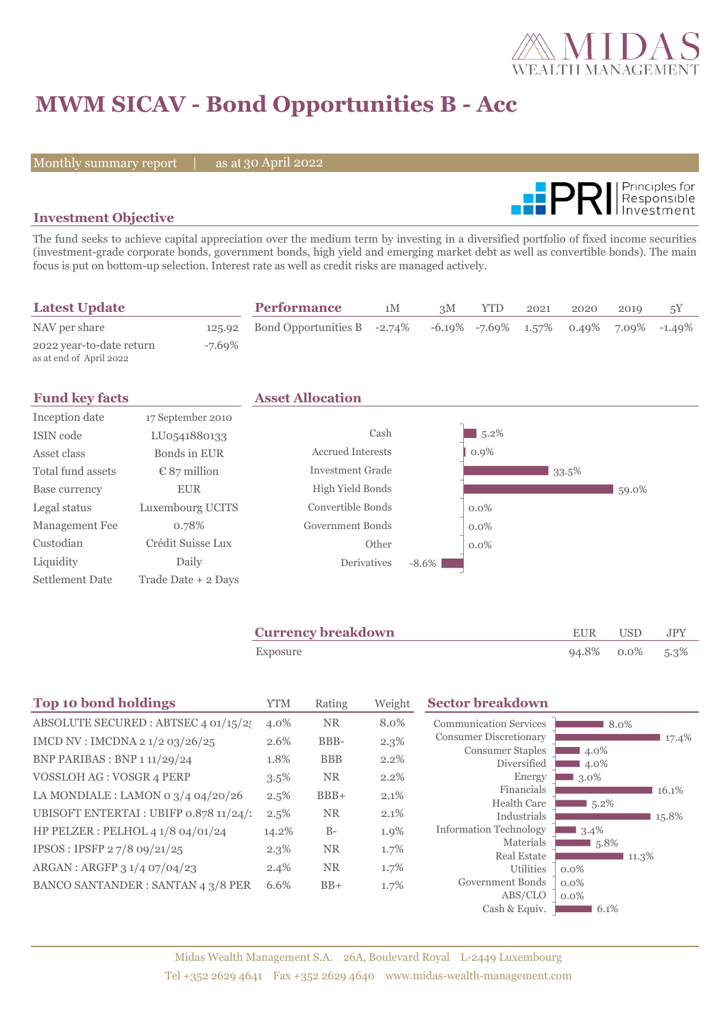

# **MWM SICAV - Bond Opportunities B - Acc**

Monthly summary report | as at 30 April 2022



### **Investment Objective**

The fund seeks to achieve capital appreciation over the medium term by investing in a diversified portfolio of fixed income securities (investment-grade corporate bonds, government bonds, high yield and emerging market debt as well as convertible bonds). The main focus is put on bottom-up selection. Interest rate as well as credit risks are managed actively.

| <b>Latest Update</b>                                |        | <b>Performance</b>                 | 1M | 3M | YTD                                                      | 2021 | 2020 | 2019 |  |
|-----------------------------------------------------|--------|------------------------------------|----|----|----------------------------------------------------------|------|------|------|--|
| NAV per share                                       |        | 125.92 Bond Opportunities B -2.74% |    |    | $-6.19\%$ $-7.69\%$ $1.57\%$ $0.49\%$ $7.09\%$ $-1.49\%$ |      |      |      |  |
| 2022 year-to-date return<br>as at end of April 2022 | -7.69% |                                    |    |    |                                                          |      |      |      |  |

| <b>Fund key facts</b>  |                     | <b>Asset Allocation</b>  |          |         |       |       |  |  |
|------------------------|---------------------|--------------------------|----------|---------|-------|-------|--|--|
| Inception date         | 17 September 2010   |                          |          |         |       |       |  |  |
| ISIN code              | LU0541880133        | Cash                     |          | $5.2\%$ |       |       |  |  |
| Asset class            | Bonds in EUR        | <b>Accrued Interests</b> |          | 0.9%    |       |       |  |  |
| Total fund assets      | $\&$ 87 million     | <b>Investment Grade</b>  |          |         | 33.5% |       |  |  |
| Base currency          | <b>EUR</b>          | High Yield Bonds         |          |         |       | 59.0% |  |  |
| Legal status           | Luxembourg UCITS    | Convertible Bonds        |          | $0.0\%$ |       |       |  |  |
| Management Fee         | 0.78%               | Government Bonds         |          | $0.0\%$ |       |       |  |  |
| Custodian              | Crédit Suisse Lux   | Other                    |          | $0.0\%$ |       |       |  |  |
| Liquidity              | Daily               | Derivatives              | $-8.6\%$ |         |       |       |  |  |
| <b>Settlement Date</b> | Trade Date + 2 Days |                          |          |         |       |       |  |  |

| <b>Currency breakdown</b> | EUR USD         | <b>JPY</b> |
|---------------------------|-----------------|------------|
| Exposure                  | 94.8% 0.0% 5.3% |            |

| <b>Top 10 bond holdings</b>              | <b>YTM</b> | Rating     | Weight | <b>Sector breakdown</b>                |                  |
|------------------------------------------|------------|------------|--------|----------------------------------------|------------------|
| ABSOLUTE SECURED : ABTSEC 4 01/15/25     | 4.0%       | <b>NR</b>  | 8.0%   | <b>Communication Services</b>          | 18.0%            |
| IMCD NV : IMCDNA 2 1/2 03/26/25          | 2.6%       | BBB-       | 2.3%   | <b>Consumer Discretionary</b>          | 17.4%            |
| BNP PARIBAS : BNP 1 11/29/24             | 1.8%       | <b>BBB</b> | 2.2%   | <b>Consumer Staples</b><br>Diversified | 4.0%<br>4.0%     |
| <b>VOSSLOH AG : VOSGR 4 PERP</b>         | 3.5%       | <b>NR</b>  | 2.2%   | Energy                                 | 3.0%             |
| LA MONDIALE : LAMON 0 $3/4$ 04/20/26     | 2.5%       | $BBB+$     | 2.1%   | Financials                             | 16.1%            |
| UBISOFT ENTERTAI : UBIFP 0.878 11/24/1   | 2.5%       | <b>NR</b>  | 2.1%   | <b>Health Care</b><br>Industrials      | $5.2\%$<br>15.8% |
| HP PELZER : PELHOL 4 1/8 04/01/24        | 14.2%      | $B-$       | 1.9%   | <b>Information Technology</b>          | $3.4\%$          |
| IPSOS: IPSFP 27/8 09/21/25               | $2.3\%$    | <b>NR</b>  | 1.7%   | Materials                              | 5.8%             |
| ARGAN : ARGFP 3 1/4 07/04/23             | 2.4%       | <b>NR</b>  | 1.7%   | <b>Real Estate</b><br>Utilities        | 11.3%<br>$0.0\%$ |
| <b>BANCO SANTANDER: SANTAN 4 3/8 PER</b> | 6.6%       | $BB+$      |        | Government Bonds                       | $0.0\%$          |
|                                          |            |            | 1.7%   | ABS/CLO                                | $0.0\%$          |
|                                          |            |            |        | Cash & Equiv.                          | 6.1%             |